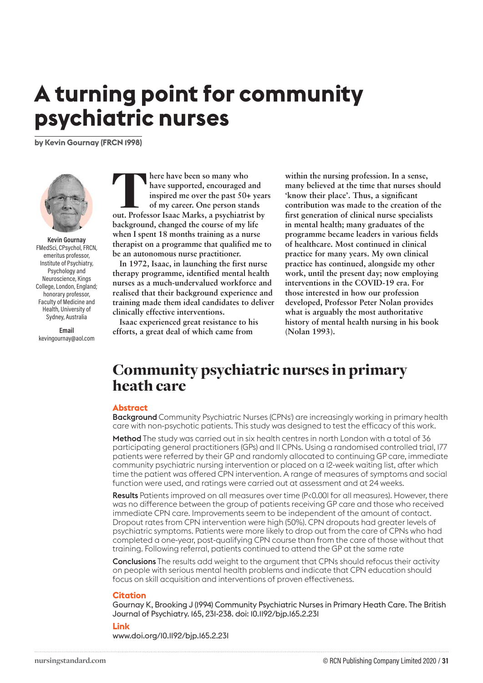# **A turning point for community psychiatric nurses**

**by Kevin Gournay (FRCN 1998)**



**Kevin Gournay** FMedSci, CPsychol, FRCN, emeritus professor, Institute of Psychiatry, Psychology and Neuroscience, Kings College, London, England; honorary professor, Faculty of Medicine and Health, University of Sydney, Australia

**Email** kevingournay@aol.com **FREE HAVE been so many who have supported, encouraged and inspired me over the past 50+ year of my career. One person stands out. Professor Isaac Marks, a psychiatrist by have supported, encouraged and inspired me over the past 50+ years of my career. One person stands background, changed the course of my life when I spent 18 months training as a nurse therapist on a programme that qualified me to be an autonomous nurse practitioner.** 

**In 1972, Isaac, in launching the first nurse therapy programme, identified mental health nurses as a much-undervalued workforce and realised that their background experience and training made them ideal candidates to deliver clinically effective interventions.** 

**Isaac experienced great resistance to his efforts, a great deal of which came from** 

**within the nursing profession. In a sense, many believed at the time that nurses should 'know their place'. Thus, a significant contribution was made to the creation of the first generation of clinical nurse specialists in mental health; many graduates of the programme became leaders in various fields of healthcare. Most continued in clinical practice for many years. My own clinical practice has continued, alongside my other work, until the present day; now employing interventions in the COVID-19 era. For those interested in how our profession developed, Professor Peter Nolan provides what is arguably the most authoritative history of mental health nursing in his book (Nolan 1993).**

# Community psychiatric nurses in primary heath care

#### **Abstract**

**Background** Community Psychiatric Nurses (CPNs<sup>I</sup>) are increasingly working in primary health care with non-psychotic patients. This study was designed to test the efficacy of this work.

Method The study was carried out in six health centres in north London with a total of 36 participating general practitioners (GPs) and 11 CPNs. Using a randomised controlled trial, 177 patients were referred by their GP and randomly allocated to continuing GP care, immediate community psychiatric nursing intervention or placed on a 12-week waiting list, after which time the patient was offered CPN intervention. A range of measures of symptoms and social function were used, and ratings were carried out at assessment and at 24 weeks.

Results Patients improved on all measures over time (P<0.001 for all measures). However, there was no difference between the group of patients receiving GP care and those who received immediate CPN care. Improvements seem to be independent of the amount of contact. Dropout rates from CPN intervention were high (50%). CPN dropouts had greater levels of psychiatric symptoms. Patients were more likely to drop out from the care of CPNs who had completed a one-year, post-qualifying CPN course than from the care of those without that training. Following referral, patients continued to attend the GP at the same rate

Conclusions The results add weight to the argument that CPNs should refocus their activity on people with serious mental health problems and indicate that CPN education should focus on skill acquisition and interventions of proven effectiveness.

#### **Citation**

Gournay K, Brooking J (1994) Community Psychiatric Nurses in Primary Heath Care. The British Journal of Psychiatry. 165, 231-238. doi: 10.1192/bjp.165.2.231

#### **Link**

www.doi.org/10.1192/bjp.165.2.231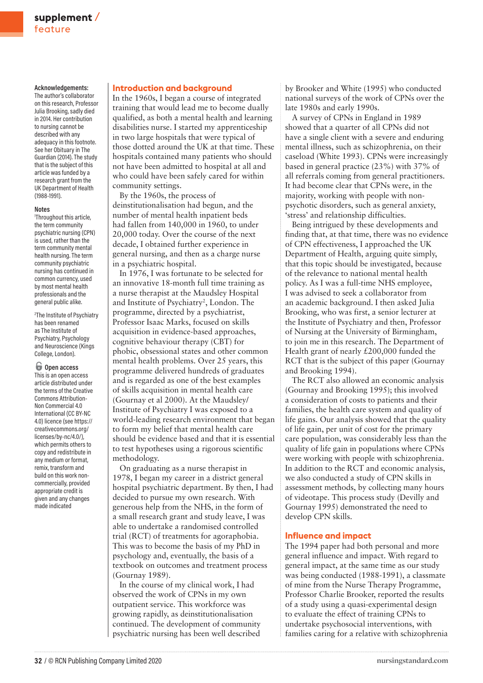#### **Acknowledgements:**

The author's collaborator on this research, Professor Julia Brooking, sadly died in 2014. Her contribution to nursing cannot be described with any adequacy in this footnote. See her Obituary in The Guardian (2014). The study that is the subject of this article was funded by a research grant from the UK Department of Health (1988-1991).

#### **Notes**

1 Throughout this article, the term community psychiatric nursing (CPN) is used, rather than the term community mental health nursing. The term community psychiatric nursing has continued in common currency, used by most mental health professionals and the general public alike.

2 The Institute of Psychiatry has been renamed as The Institute of Psychiatry, Psychology and Neuroscience (Kings College, London).

## o **Open access**

This is an open access article distributed under the terms of the Creative Commons Attribution-Non Commercial 4.0 International (CC BY-NC 4.0) licence (see https:// creativecommons.org/ licenses/by-nc/4.0/), which permits others to copy and redistribute in any medium or format, remix, transform and build on this work noncommercially, provided appropriate credit is given and any changes made indicated

#### **Introduction and background**

In the 1960s, I began a course of integrated training that would lead me to become dually qualified, as both a mental health and learning disabilities nurse. I started my apprenticeship in two large hospitals that were typical of those dotted around the UK at that time. These hospitals contained many patients who should not have been admitted to hospital at all and who could have been safely cared for within community settings.

By the 1960s, the process of deinstitutionalisation had begun, and the number of mental health inpatient beds had fallen from 140,000 in 1960, to under 20,000 today. Over the course of the next decade, I obtained further experience in general nursing, and then as a charge nurse in a psychiatric hospital.

In 1976, I was fortunate to be selected for an innovative 18-month full time training as a nurse therapist at the Maudsley Hospital and Institute of Psychiatry<sup>2</sup>, London. The programme, directed by a psychiatrist, Professor Isaac Marks, focused on skills acquisition in evidence-based approaches, cognitive behaviour therapy (CBT) for phobic, obsessional states and other common mental health problems. Over 25 years, this programme delivered hundreds of graduates and is regarded as one of the best examples of skills acquisition in mental health care (Gournay et al 2000). At the Maudsley/ Institute of Psychiatry I was exposed to a world-leading research environment that began to form my belief that mental health care should be evidence based and that it is essential to test hypotheses using a rigorous scientific methodology.

On graduating as a nurse therapist in 1978, I began my career in a district general hospital psychiatric department. By then, I had decided to pursue my own research. With generous help from the NHS, in the form of a small research grant and study leave, I was able to undertake a randomised controlled trial (RCT) of treatments for agoraphobia. This was to become the basis of my PhD in psychology and, eventually, the basis of a textbook on outcomes and treatment process (Gournay 1989).

In the course of my clinical work, I had observed the work of CPNs in my own outpatient service. This workforce was growing rapidly, as deinstitutionalisation continued. The development of community psychiatric nursing has been well described by Brooker and White (1995) who conducted national surveys of the work of CPNs over the late 1980s and early 1990s.

A survey of CPNs in England in 1989 showed that a quarter of all CPNs did not have a single client with a severe and enduring mental illness, such as schizophrenia, on their caseload (White 1993). CPNs were increasingly based in general practice (23%) with 37% of all referrals coming from general practitioners. It had become clear that CPNs were, in the majority, working with people with nonpsychotic disorders, such as general anxiety, 'stress' and relationship difficulties.

Being intrigued by these developments and finding that, at that time, there was no evidence of CPN effectiveness, I approached the UK Department of Health, arguing quite simply, that this topic should be investigated, because of the relevance to national mental health policy. As I was a full-time NHS employee, I was advised to seek a collaborator from an academic background. I then asked Julia Brooking, who was first, a senior lecturer at the Institute of Psychiatry and then, Professor of Nursing at the University of Birmingham, to join me in this research. The Department of Health grant of nearly £200,000 funded the RCT that is the subject of this paper (Gournay and Brooking 1994).

The RCT also allowed an economic analysis (Gournay and Brooking 1995); this involved a consideration of costs to patients and their families, the health care system and quality of life gains. Our analysis showed that the quality of life gain, per unit of cost for the primary care population, was considerably less than the quality of life gain in populations where CPNs were working with people with schizophrenia. In addition to the RCT and economic analysis, we also conducted a study of CPN skills in assessment methods, by collecting many hours of videotape. This process study (Devilly and Gournay 1995) demonstrated the need to develop CPN skills.

#### **Influence and impact**

The 1994 paper had both personal and more general influence and impact. With regard to general impact, at the same time as our study was being conducted (1988-1991), a classmate of mine from the Nurse Therapy Programme, Professor Charlie Brooker, reported the results of a study using a quasi-experimental design to evaluate the effect of training CPNs to undertake psychosocial interventions, with families caring for a relative with schizophrenia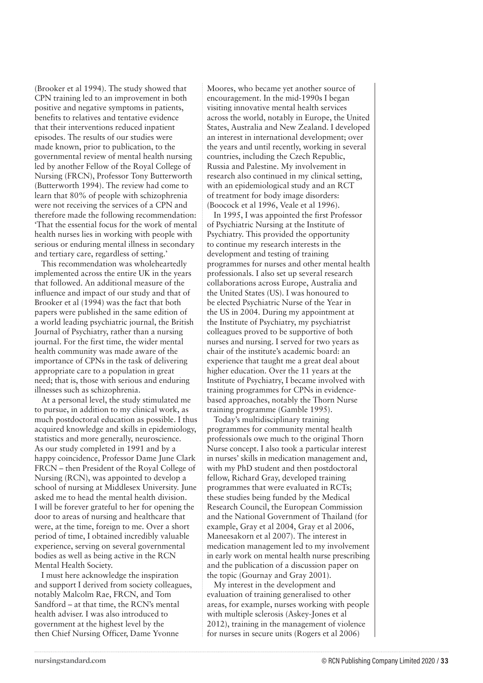(Brooker et al 1994). The study showed that CPN training led to an improvement in both positive and negative symptoms in patients, benefits to relatives and tentative evidence that their interventions reduced inpatient episodes. The results of our studies were made known, prior to publication, to the governmental review of mental health nursing led by another Fellow of the Royal College of Nursing (FRCN), Professor Tony Butterworth (Butterworth 1994). The review had come to learn that 80% of people with schizophrenia were not receiving the services of a CPN and therefore made the following recommendation: 'That the essential focus for the work of mental health nurses lies in working with people with serious or enduring mental illness in secondary and tertiary care, regardless of setting.'

This recommendation was wholeheartedly implemented across the entire UK in the years that followed. An additional measure of the influence and impact of our study and that of Brooker et al (1994) was the fact that both papers were published in the same edition of a world leading psychiatric journal, the British Journal of Psychiatry, rather than a nursing journal. For the first time, the wider mental health community was made aware of the importance of CPNs in the task of delivering appropriate care to a population in great need; that is, those with serious and enduring illnesses such as schizophrenia.

At a personal level, the study stimulated me to pursue, in addition to my clinical work, as much postdoctoral education as possible. I thus acquired knowledge and skills in epidemiology, statistics and more generally, neuroscience. As our study completed in 1991 and by a happy coincidence, Professor Dame June Clark FRCN – then President of the Royal College of Nursing (RCN), was appointed to develop a school of nursing at Middlesex University. June asked me to head the mental health division. I will be forever grateful to her for opening the door to areas of nursing and healthcare that were, at the time, foreign to me. Over a short period of time, I obtained incredibly valuable experience, serving on several governmental bodies as well as being active in the RCN Mental Health Society.

I must here acknowledge the inspiration and support I derived from society colleagues, notably Malcolm Rae, FRCN, and Tom Sandford – at that time, the RCN's mental health adviser. I was also introduced to government at the highest level by the then Chief Nursing Officer, Dame Yvonne

Moores, who became yet another source of encouragement. In the mid-1990s I began visiting innovative mental health services across the world, notably in Europe, the United States, Australia and New Zealand. I developed an interest in international development; over the years and until recently, working in several countries, including the Czech Republic, Russia and Palestine. My involvement in research also continued in my clinical setting, with an epidemiological study and an RCT of treatment for body image disorders: (Boocock et al 1996, Veale et al 1996).

In 1995, I was appointed the first Professor of Psychiatric Nursing at the Institute of Psychiatry. This provided the opportunity to continue my research interests in the development and testing of training programmes for nurses and other mental health professionals. I also set up several research collaborations across Europe, Australia and the United States (US). I was honoured to be elected Psychiatric Nurse of the Year in the US in 2004. During my appointment at the Institute of Psychiatry, my psychiatrist colleagues proved to be supportive of both nurses and nursing. I served for two years as chair of the institute's academic board: an experience that taught me a great deal about higher education. Over the 11 years at the Institute of Psychiatry, I became involved with training programmes for CPNs in evidencebased approaches, notably the Thorn Nurse training programme (Gamble 1995).

Today's multidisciplinary training programmes for community mental health professionals owe much to the original Thorn Nurse concept. I also took a particular interest in nurses' skills in medication management and, with my PhD student and then postdoctoral fellow, Richard Gray, developed training programmes that were evaluated in RCTs; these studies being funded by the Medical Research Council, the European Commission and the National Government of Thailand (for example, Gray et al 2004, Gray et al 2006, Maneesakorn et al 2007). The interest in medication management led to my involvement in early work on mental health nurse prescribing and the publication of a discussion paper on the topic (Gournay and Gray 2001).

My interest in the development and evaluation of training generalised to other areas, for example, nurses working with people with multiple sclerosis (Askey-Jones et al 2012), training in the management of violence for nurses in secure units (Rogers et al 2006)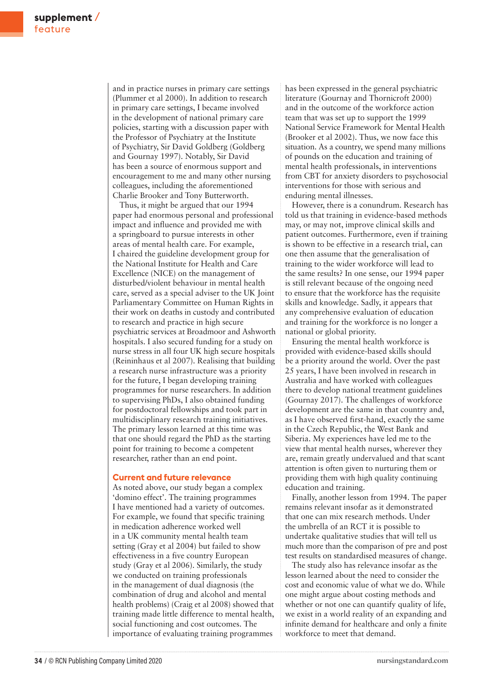and in practice nurses in primary care settings (Plummer et al 2000). In addition to research in primary care settings, I became involved in the development of national primary care policies, starting with a discussion paper with the Professor of Psychiatry at the Institute of Psychiatry, Sir David Goldberg (Goldberg and Gournay 1997). Notably, Sir David has been a source of enormous support and encouragement to me and many other nursing colleagues, including the aforementioned Charlie Brooker and Tony Butterworth.

Thus, it might be argued that our 1994 paper had enormous personal and professional impact and influence and provided me with a springboard to pursue interests in other areas of mental health care. For example, I chaired the guideline development group for the National Institute for Health and Care Excellence (NICE) on the management of disturbed/violent behaviour in mental health care, served as a special adviser to the UK Joint Parliamentary Committee on Human Rights in their work on deaths in custody and contributed to research and practice in high secure psychiatric services at Broadmoor and Ashworth hospitals. I also secured funding for a study on nurse stress in all four UK high secure hospitals (Reininhaus et al 2007). Realising that building a research nurse infrastructure was a priority for the future, I began developing training programmes for nurse researchers. In addition to supervising PhDs, I also obtained funding for postdoctoral fellowships and took part in multidisciplinary research training initiatives. The primary lesson learned at this time was that one should regard the PhD as the starting point for training to become a competent researcher, rather than an end point.

#### **Current and future relevance**

As noted above, our study began a complex 'domino effect'. The training programmes I have mentioned had a variety of outcomes. For example, we found that specific training in medication adherence worked well in a UK community mental health team setting (Gray et al 2004) but failed to show effectiveness in a five country European study (Gray et al 2006). Similarly, the study we conducted on training professionals in the management of dual diagnosis (the combination of drug and alcohol and mental health problems) (Craig et al 2008) showed that training made little difference to mental health, social functioning and cost outcomes. The importance of evaluating training programmes

has been expressed in the general psychiatric literature (Gournay and Thornicroft 2000) and in the outcome of the workforce action team that was set up to support the 1999 National Service Framework for Mental Health (Brooker et al 2002). Thus, we now face this situation. As a country, we spend many millions of pounds on the education and training of mental health professionals, in interventions from CBT for anxiety disorders to psychosocial interventions for those with serious and enduring mental illnesses.

However, there is a conundrum. Research has told us that training in evidence-based methods may, or may not, improve clinical skills and patient outcomes. Furthermore, even if training is shown to be effective in a research trial, can one then assume that the generalisation of training to the wider workforce will lead to the same results? In one sense, our 1994 paper is still relevant because of the ongoing need to ensure that the workforce has the requisite skills and knowledge. Sadly, it appears that any comprehensive evaluation of education and training for the workforce is no longer a national or global priority.

Ensuring the mental health workforce is provided with evidence-based skills should be a priority around the world. Over the past 25 years, I have been involved in research in Australia and have worked with colleagues there to develop national treatment guidelines (Gournay 2017). The challenges of workforce development are the same in that country and, as I have observed first-hand, exactly the same in the Czech Republic, the West Bank and Siberia. My experiences have led me to the view that mental health nurses, wherever they are, remain greatly undervalued and that scant attention is often given to nurturing them or providing them with high quality continuing education and training.

Finally, another lesson from 1994. The paper remains relevant insofar as it demonstrated that one can mix research methods. Under the umbrella of an RCT it is possible to undertake qualitative studies that will tell us much more than the comparison of pre and post test results on standardised measures of change.

The study also has relevance insofar as the lesson learned about the need to consider the cost and economic value of what we do. While one might argue about costing methods and whether or not one can quantify quality of life, we exist in a world reality of an expanding and infinite demand for healthcare and only a finite workforce to meet that demand.